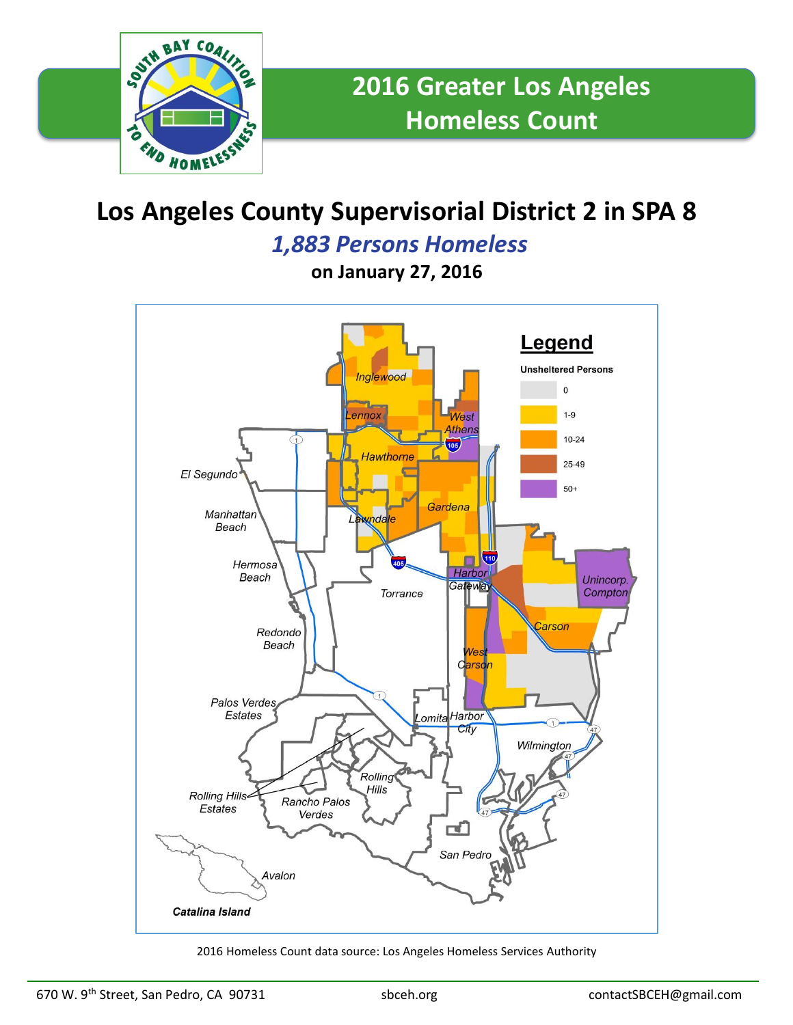

## **Los Angeles County Supervisorial District 2 in SPA 8**

*1,883 Persons Homeless*

**on January 27, 2016**



2016 Homeless Count data source: Los Angeles Homeless Services Authority